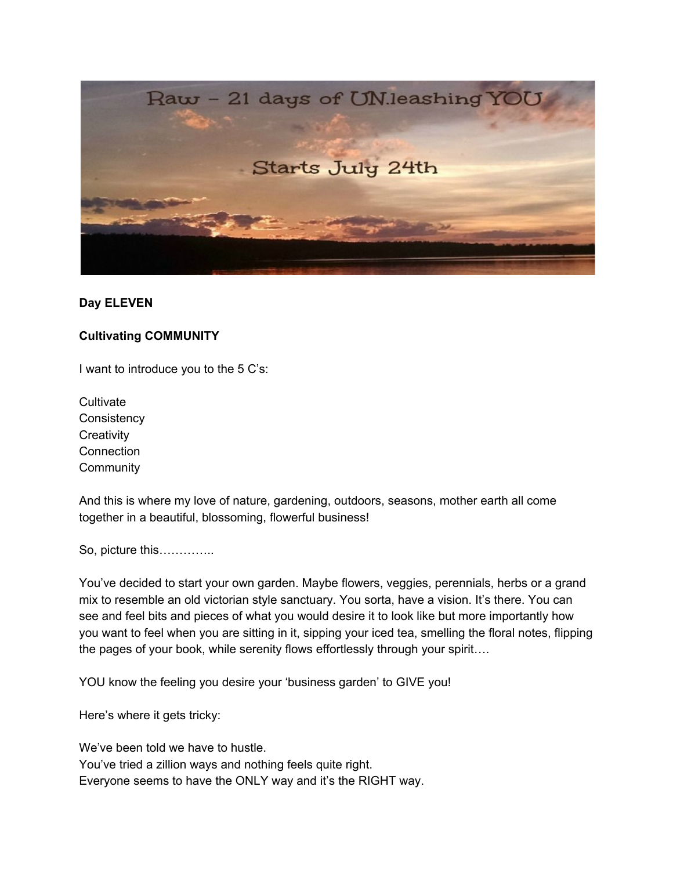

# **Day ELEVEN**

## **Cultivating COMMUNITY**

I want to introduce you to the 5 C's:

**Cultivate Consistency Creativity Connection Community** 

And this is where my love of nature, gardening, outdoors, seasons, mother earth all come together in a beautiful, blossoming, flowerful business!

So, picture this…………..

You've decided to start your own garden. Maybe flowers, veggies, perennials, herbs or a grand mix to resemble an old victorian style sanctuary. You sorta, have a vision. It's there. You can see and feel bits and pieces of what you would desire it to look like but more importantly how you want to feel when you are sitting in it, sipping your iced tea, smelling the floral notes, flipping the pages of your book, while serenity flows effortlessly through your spirit….

YOU know the feeling you desire your 'business garden' to GIVE you!

Here's where it gets tricky:

We've been told we have to hustle. You've tried a zillion ways and nothing feels quite right. Everyone seems to have the ONLY way and it's the RIGHT way.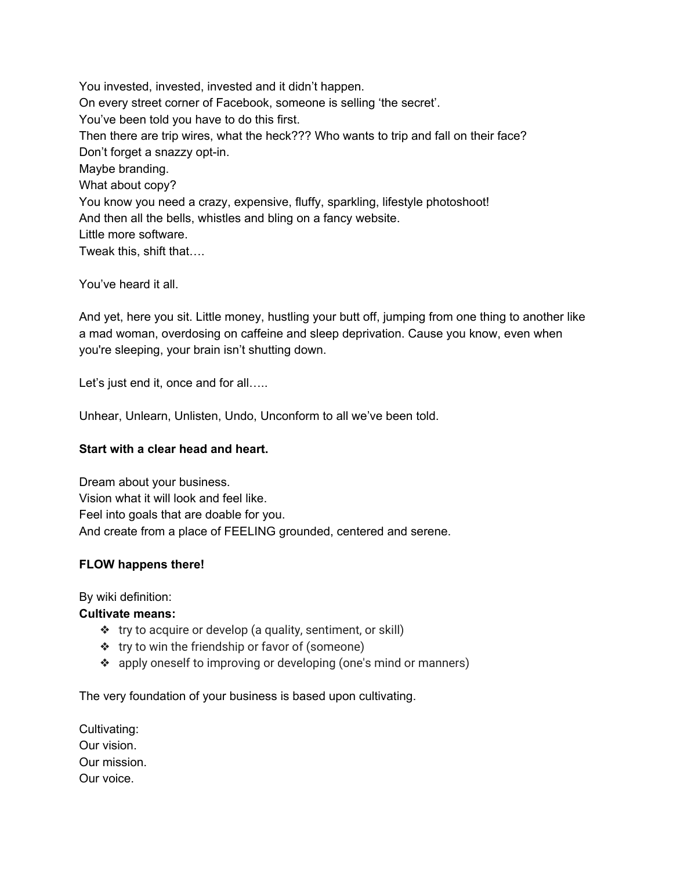You invested, invested, invested and it didn't happen. On every street corner of Facebook, someone is selling 'the secret'. You've been told you have to do this first. Then there are trip wires, what the heck??? Who wants to trip and fall on their face? Don't forget a snazzy opt-in. Maybe branding. What about copy? You know you need a crazy, expensive, fluffy, sparkling, lifestyle photoshoot! And then all the bells, whistles and bling on a fancy website. Little more software. Tweak this, shift that….

You've heard it all.

And yet, here you sit. Little money, hustling your butt off, jumping from one thing to another like a mad woman, overdosing on caffeine and sleep deprivation. Cause you know, even when you're sleeping, your brain isn't shutting down.

Let's just end it, once and for all.....

Unhear, Unlearn, Unlisten, Undo, Unconform to all we've been told.

### **Start with a clear head and heart.**

Dream about your business. Vision what it will look and feel like. Feel into goals that are doable for you. And create from a place of FEELING grounded, centered and serene.

# **FLOW happens there!**

By wiki definition:

#### **Cultivate means:**

- ❖ try to acquire or develop (a quality, sentiment, or skill)
- ❖ try to win the friendship or favor of (someone)
- ❖ apply oneself to improving or developing (one's mind or manners)

The very foundation of your business is based upon cultivating.

| Cultivating: |
|--------------|
| Our vision.  |
| Our mission. |
| Our voice.   |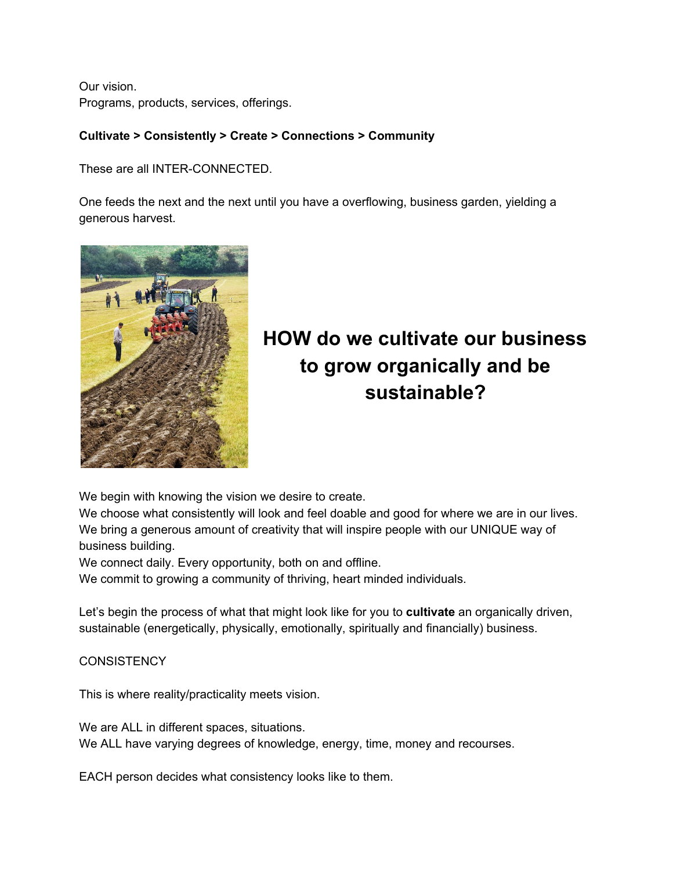Our vision. Programs, products, services, offerings.

# **Cultivate > Consistently > Create > Connections > Community**

These are all INTER-CONNECTED.

One feeds the next and the next until you have a overflowing, business garden, yielding a generous harvest.



# **HOW do we cultivate our business to grow organically and be sustainable?**

We begin with knowing the vision we desire to create.

We choose what consistently will look and feel doable and good for where we are in our lives. We bring a generous amount of creativity that will inspire people with our UNIQUE way of business building.

We connect daily. Every opportunity, both on and offline.

We commit to growing a community of thriving, heart minded individuals.

Let's begin the process of what that might look like for you to **cultivate** an organically driven, sustainable (energetically, physically, emotionally, spiritually and financially) business.

**CONSISTENCY** 

This is where reality/practicality meets vision.

We are ALL in different spaces, situations. We ALL have varying degrees of knowledge, energy, time, money and recourses.

EACH person decides what consistency looks like to them.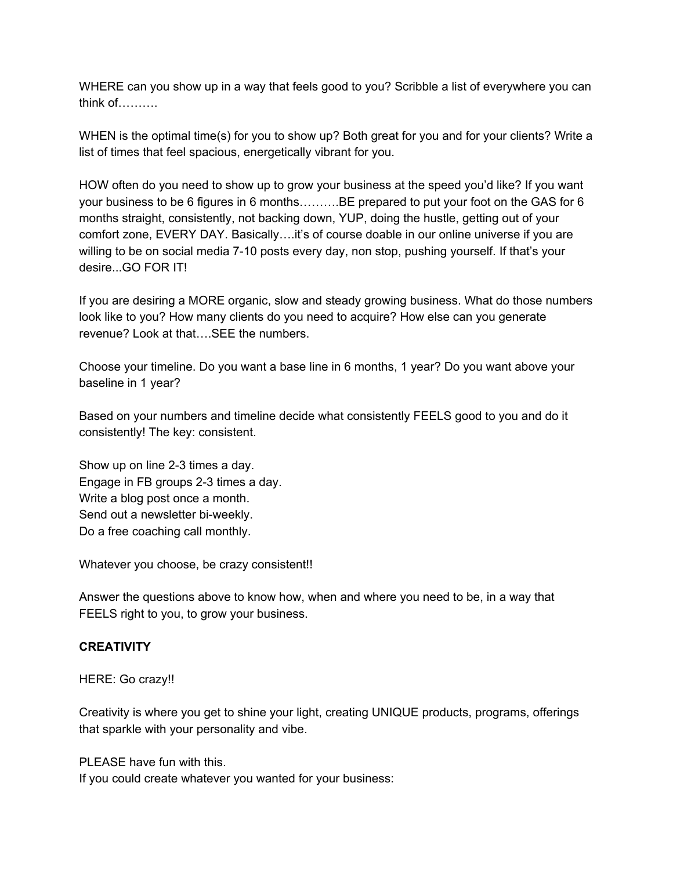WHERE can you show up in a way that feels good to you? Scribble a list of everywhere you can think of……….

WHEN is the optimal time(s) for you to show up? Both great for you and for your clients? Write a list of times that feel spacious, energetically vibrant for you.

HOW often do you need to show up to grow your business at the speed you'd like? If you want your business to be 6 figures in 6 months……….BE prepared to put your foot on the GAS for 6 months straight, consistently, not backing down, YUP, doing the hustle, getting out of your comfort zone, EVERY DAY. Basically....it's of course doable in our online universe if you are willing to be on social media 7-10 posts every day, non stop, pushing yourself. If that's your desire...GO FOR IT!

If you are desiring a MORE organic, slow and steady growing business. What do those numbers look like to you? How many clients do you need to acquire? How else can you generate revenue? Look at that….SEE the numbers.

Choose your timeline. Do you want a base line in 6 months, 1 year? Do you want above your baseline in 1 year?

Based on your numbers and timeline decide what consistently FEELS good to you and do it consistently! The key: consistent.

Show up on line 2-3 times a day. Engage in FB groups 2-3 times a day. Write a blog post once a month. Send out a newsletter bi-weekly. Do a free coaching call monthly.

Whatever you choose, be crazy consistent!!

Answer the questions above to know how, when and where you need to be, in a way that FEELS right to you, to grow your business.

# **CREATIVITY**

HERE: Go crazy!!

Creativity is where you get to shine your light, creating UNIQUE products, programs, offerings that sparkle with your personality and vibe.

PLEASE have fun with this.

If you could create whatever you wanted for your business: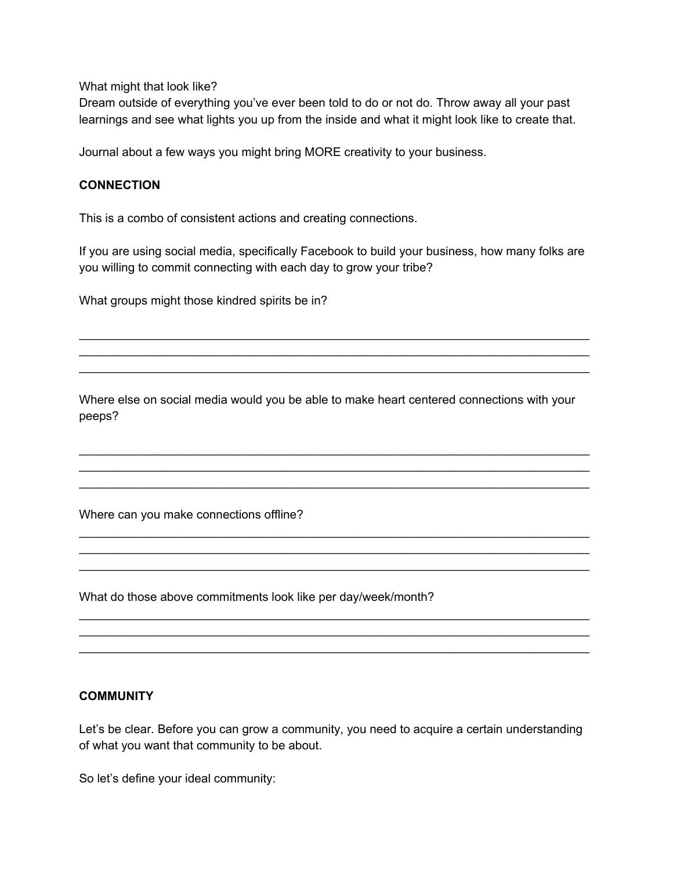What might that look like?

Dream outside of everything you've ever been told to do or not do. Throw away all your past learnings and see what lights you up from the inside and what it might look like to create that.

Journal about a few ways you might bring MORE creativity to your business.

# **CONNECTION**

This is a combo of consistent actions and creating connections.

If you are using social media, specifically Facebook to build your business, how many folks are you willing to commit connecting with each day to grow your tribe?

\_\_\_\_\_\_\_\_\_\_\_\_\_\_\_\_\_\_\_\_\_\_\_\_\_\_\_\_\_\_\_\_\_\_\_\_\_\_\_\_\_\_\_\_\_\_\_\_\_\_\_\_\_\_\_\_\_\_\_\_\_\_\_\_\_\_\_\_\_\_\_\_\_\_\_\_ \_\_\_\_\_\_\_\_\_\_\_\_\_\_\_\_\_\_\_\_\_\_\_\_\_\_\_\_\_\_\_\_\_\_\_\_\_\_\_\_\_\_\_\_\_\_\_\_\_\_\_\_\_\_\_\_\_\_\_\_\_\_\_\_\_\_\_\_\_\_\_\_\_\_\_\_ \_\_\_\_\_\_\_\_\_\_\_\_\_\_\_\_\_\_\_\_\_\_\_\_\_\_\_\_\_\_\_\_\_\_\_\_\_\_\_\_\_\_\_\_\_\_\_\_\_\_\_\_\_\_\_\_\_\_\_\_\_\_\_\_\_\_\_\_\_\_\_\_\_\_\_\_

What groups might those kindred spirits be in?

Where else on social media would you be able to make heart centered connections with your peeps?

\_\_\_\_\_\_\_\_\_\_\_\_\_\_\_\_\_\_\_\_\_\_\_\_\_\_\_\_\_\_\_\_\_\_\_\_\_\_\_\_\_\_\_\_\_\_\_\_\_\_\_\_\_\_\_\_\_\_\_\_\_\_\_\_\_\_\_\_\_\_\_\_\_\_\_\_ \_\_\_\_\_\_\_\_\_\_\_\_\_\_\_\_\_\_\_\_\_\_\_\_\_\_\_\_\_\_\_\_\_\_\_\_\_\_\_\_\_\_\_\_\_\_\_\_\_\_\_\_\_\_\_\_\_\_\_\_\_\_\_\_\_\_\_\_\_\_\_\_\_\_\_\_ \_\_\_\_\_\_\_\_\_\_\_\_\_\_\_\_\_\_\_\_\_\_\_\_\_\_\_\_\_\_\_\_\_\_\_\_\_\_\_\_\_\_\_\_\_\_\_\_\_\_\_\_\_\_\_\_\_\_\_\_\_\_\_\_\_\_\_\_\_\_\_\_\_\_\_\_

\_\_\_\_\_\_\_\_\_\_\_\_\_\_\_\_\_\_\_\_\_\_\_\_\_\_\_\_\_\_\_\_\_\_\_\_\_\_\_\_\_\_\_\_\_\_\_\_\_\_\_\_\_\_\_\_\_\_\_\_\_\_\_\_\_\_\_\_\_\_\_\_\_\_\_\_ \_\_\_\_\_\_\_\_\_\_\_\_\_\_\_\_\_\_\_\_\_\_\_\_\_\_\_\_\_\_\_\_\_\_\_\_\_\_\_\_\_\_\_\_\_\_\_\_\_\_\_\_\_\_\_\_\_\_\_\_\_\_\_\_\_\_\_\_\_\_\_\_\_\_\_\_ \_\_\_\_\_\_\_\_\_\_\_\_\_\_\_\_\_\_\_\_\_\_\_\_\_\_\_\_\_\_\_\_\_\_\_\_\_\_\_\_\_\_\_\_\_\_\_\_\_\_\_\_\_\_\_\_\_\_\_\_\_\_\_\_\_\_\_\_\_\_\_\_\_\_\_\_

\_\_\_\_\_\_\_\_\_\_\_\_\_\_\_\_\_\_\_\_\_\_\_\_\_\_\_\_\_\_\_\_\_\_\_\_\_\_\_\_\_\_\_\_\_\_\_\_\_\_\_\_\_\_\_\_\_\_\_\_\_\_\_\_\_\_\_\_\_\_\_\_\_\_\_\_ \_\_\_\_\_\_\_\_\_\_\_\_\_\_\_\_\_\_\_\_\_\_\_\_\_\_\_\_\_\_\_\_\_\_\_\_\_\_\_\_\_\_\_\_\_\_\_\_\_\_\_\_\_\_\_\_\_\_\_\_\_\_\_\_\_\_\_\_\_\_\_\_\_\_\_\_ \_\_\_\_\_\_\_\_\_\_\_\_\_\_\_\_\_\_\_\_\_\_\_\_\_\_\_\_\_\_\_\_\_\_\_\_\_\_\_\_\_\_\_\_\_\_\_\_\_\_\_\_\_\_\_\_\_\_\_\_\_\_\_\_\_\_\_\_\_\_\_\_\_\_\_\_

Where can you make connections offline?

What do those above commitments look like per day/week/month?

# **COMMUNITY**

Let's be clear. Before you can grow a community, you need to acquire a certain understanding of what you want that community to be about.

So let's define your ideal community: